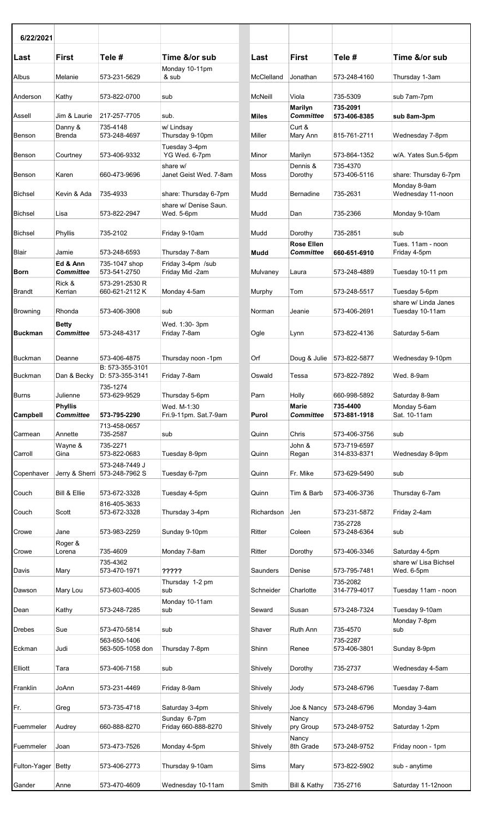| 6/22/2021          |                              |                                  |                                      |              |                                       |                              |                                         |
|--------------------|------------------------------|----------------------------------|--------------------------------------|--------------|---------------------------------------|------------------------------|-----------------------------------------|
| Last               | <b>First</b>                 | Tele #                           | Time &/or sub                        | Last         | <b>First</b>                          | Tele #                       | Time &/or sub                           |
| Albus              | Melanie                      | 573-231-5629                     | Monday 10-11pm<br>& sub              | McClelland   | Jonathan                              | 573-248-4160                 | Thursday 1-3am                          |
| Anderson           | Kathy                        | 573-822-0700                     | sub                                  | McNeill      | Viola                                 | 735-5309                     | sub 7am-7pm                             |
| Assell             | Jim & Laurie                 | 217-257-7705                     | sub.                                 | <b>Miles</b> | Marilyn<br><b>Committee</b>           | 735-2091<br>573-406-8385     | sub 8am-3pm                             |
| Benson             | Danny &<br><b>Brenda</b>     | 735-4148<br>573-248-4697         | w/ Lindsay<br>Thursday 9-10pm        | Miller       | Curt &<br>Mary Ann                    | 815-761-2711                 | Wednesday 7-8pm                         |
| Benson             | Courtney                     | 573-406-9332                     | Tuesday 3-4pm<br>YG Wed. 6-7pm       | Minor        | Marilyn                               | 573-864-1352                 | w/A. Yates Sun.5-6p                     |
| Benson             | Karen                        | 660-473-9696                     | share w/<br>Janet Geist Wed. 7-8am   | Moss         | Dennis &<br>Dorothy                   | 735-4370<br>573-406-5116     | share: Thursday 6-7p                    |
| Bichsel            | Kevin & Ada                  | 735-4933                         | share: Thursday 6-7pm                | Mudd         | Bernadine                             | 735-2631                     | Monday 8-9am<br>Wednesday 11-noon       |
| <b>Bichsel</b>     | Lisa                         | 573-822-2947                     | share w/ Denise Saun.<br>Wed. 5-6pm  | Mudd         | Dan                                   | 735-2366                     | Monday 9-10am                           |
| Bichsel            | Phyllis                      | 735-2102                         | Friday 9-10am                        | Mudd         | Dorothy                               | 735-2851                     | sub                                     |
| Blair              | Jamie                        | 573-248-6593                     | Thursday 7-8am                       | Mudd         | <b>Rose Ellen</b><br><b>Committee</b> | 660-651-6910                 | Tues. 11am - noon<br>Friday 4-5pm       |
| <b>Born</b>        | Ed & Ann<br><b>Committee</b> | 735-1047 shop<br>573-541-2750    | Friday 3-4pm /sub<br>Friday Mid -2am | Mulvaney     | Laura                                 | 573-248-4889                 | Tuesday 10-11 pm                        |
| Brandt             | Rick &<br>Kerrian            | 573-291-2530 R<br>660-621-2112K  | Monday 4-5am                         | Murphy       | Tom                                   | 573-248-5517                 | Tuesday 5-6pm                           |
| <b>Browning</b>    | Rhonda                       | 573-406-3908                     | sub                                  | Norman       | Jeanie                                | 573-406-2691                 | share w/ Linda Janes<br>Tuesday 10-11am |
|                    | <b>Betty</b>                 |                                  | Wed. 1:30-3pm                        |              |                                       |                              |                                         |
| <b>Buckman</b>     | <b>Committee</b>             | 573-248-4317                     | Friday 7-8am                         | Ogle         | Lynn                                  | 573-822-4136                 | Saturday 5-6am                          |
| <b>Buckman</b>     | Deanne                       | 573-406-4875<br>B: 573-355-3101  | Thursday noon -1pm                   | Orf          | Doug & Julie                          | 573-822-5877                 | Wednesday 9-10pm                        |
| Buckman            | Dan & Becky                  | D: 573-355-3141                  | Friday 7-8am                         | Oswald       | Tessa                                 | 573-822-7892                 | Wed. 8-9am                              |
| <b>Burns</b>       | Julienne<br><b>Phyllis</b>   | 735-1274<br>573-629-9529         | Thursday 5-6pm<br>Wed. M-1:30        | Parn         | Holly<br><b>Marie</b>                 | 660-998-5892<br>735-4400     | Saturday 8-9am<br>Monday 5-6am          |
| Campbell           | <b>Committee</b>             | 573-795-2290                     | Fri.9-11pm. Sat.7-9am                | Purol        | <b>Committee</b>                      | 573-881-1918                 | Sat. 10-11am                            |
| Carmean            | Annette                      | 713-458-0657<br>735-2587         | sub                                  | Quinn        | Chris                                 | 573-406-3756                 | sub                                     |
| Carroll            | Wayne &<br>Gina              | 735-2271<br>573-822-0683         | Tuesday 8-9pm                        | Quinn        | John &<br>Regan                       | 573-719-6597<br>314-833-8371 | Wednesday 8-9pm                         |
|                    |                              | 573-248-7449 J                   |                                      |              |                                       |                              |                                         |
| Copenhaver         |                              | Jerry & Sherri 573-248-7962 S    | Tuesday 6-7pm                        | Quinn        | Fr. Mike                              | 573-629-5490                 | sub                                     |
| Couch              | Bill & Ellie                 | 573-672-3328                     | Tuesday 4-5pm                        | Quinn        | Tim & Barb                            | 573-406-3736                 | Thursday 6-7am                          |
| Couch              | Scott                        | 816-405-3633<br>573-672-3328     | Thursday 3-4pm                       | Richardson   | Jen                                   | 573-231-5872                 | Friday 2-4am                            |
| Crowe              | Jane                         | 573-983-2259                     | Sunday 9-10pm                        | Ritter       | Coleen                                | 735-2728<br>573-248-6364     | sub                                     |
| Crowe              | Roger &<br>Lorena            | 735-4609                         | Monday 7-8am                         | Ritter       | Dorothy                               | 573-406-3346                 | Saturday 4-5pm                          |
|                    |                              | 735-4362                         |                                      |              |                                       |                              | share w/ Lisa Bichse                    |
| Davis              | Mary                         | 573-470-1971                     | ?????                                | Saunders     | Denise                                | 573-795-7481                 | Wed. 6-5pm                              |
| Dawson             | Mary Lou                     | 573-603-4005                     | Thursday 1-2 pm<br>sub               | Schneider    | Charlotte                             | 735-2082<br>314-779-4017     | Tuesday 11am - noo                      |
| Dean               | Kathy                        | 573-248-7285                     | Monday 10-11am<br>sub                | Seward       | Susan                                 | 573-248-7324                 | Tuesday 9-10am                          |
| Drebes             | Sue                          | 573-470-5814                     | sub                                  | Shaver       | Ruth Ann                              | 735-4570                     | Monday 7-8pm<br>sub                     |
| Eckman             | Judi                         | 563-650-1406<br>563-505-1058 don | Thursday 7-8pm                       | Shinn        | Renee                                 | 735-2287<br>573-406-3801     | Sunday 8-9pm                            |
| Elliott            | Tara                         | 573-406-7158                     | sub                                  | Shively      | Dorothy                               | 735-2737                     | Wednesday 4-5am                         |
| Franklin           | JoAnn                        | 573-231-4469                     | Friday 8-9am                         | Shively      | Jody                                  | 573-248-6796                 | Tuesday 7-8am                           |
| Fr.                | Greg                         | 573-735-4718                     | Saturday 3-4pm                       | Shively      | Joe & Nancy                           | 573-248-6796                 | Monday 3-4am                            |
| Fuemmeler          | Audrey                       | 660-888-8270                     | Sunday 6-7pm<br>Friday 660-888-8270  | Shively      | Nancy<br>pry Group                    | 573-248-9752                 | Saturday 1-2pm                          |
| Fuemmeler          | Joan                         | 573-473-7526                     | Monday 4-5pm                         | Shively      | Nancy<br>8th Grade                    | 573-248-9752                 | Friday noon - 1pm                       |
| Fulton-Yager Betty |                              | 573-406-2773                     | Thursday 9-10am                      | Sims         | Mary                                  | 573-822-5902                 | sub - anytime                           |
| Gander             | Anne                         | 573-470-4609                     | Wednesday 10-11am                    | Smith        | Bill & Kathy 735-2716                 |                              | Saturday 11-12noon                      |

| 6/22/2021          |                                    |                                            |                                      |            |                                  |                              |                                         |
|--------------------|------------------------------------|--------------------------------------------|--------------------------------------|------------|----------------------------------|------------------------------|-----------------------------------------|
| Last               | <b>First</b>                       | Tele#                                      | Time &/or sub<br>Monday 10-11pm      | Last       | <b>First</b>                     | Tele#                        | Time &/or sub                           |
| Albus              | Melanie                            | 573-231-5629                               | & sub                                | McClelland | Jonathan                         | 573-248-4160                 | Thursday 1-3am                          |
| Anderson           | Kathy                              | 573-822-0700                               | sub                                  | McNeill    | Viola<br><b>Marilyn</b>          | 735-5309<br>735-2091         | sub 7am-7pm                             |
| Assell             | Jim & Laurie                       | 217-257-7705                               | sub.                                 | Miles      | Committee                        | 573-406-8385                 | sub 8am-3pm                             |
| Benson             | Danny &<br>Brenda                  | 735-4148<br>573-248-4697                   | w/ Lindsay<br>Thursday 9-10pm        | Miller     | Curt &<br>Mary Ann               | 815-761-2711                 | Wednesday 7-8pm                         |
| Benson             | Courtney                           | 573-406-9332                               | Tuesday 3-4pm<br>YG Wed. 6-7pm       | Minor      | Marilyn                          | 573-864-1352                 | w/A. Yates Sun.5-6pm                    |
| Benson             | Karen                              | 660-473-9696                               | share w/<br>Janet Geist Wed. 7-8am   | Moss       | Dennis &<br>Dorothy              | 735-4370<br>573-406-5116     | share: Thursday 6-7pm<br>Monday 8-9am   |
| Bichsel            | Kevin & Ada                        | 735-4933                                   | share: Thursday 6-7pm                | Mudd       | <b>Bernadine</b>                 | 735-2631                     | Wednesday 11-noon                       |
| Bichsel            | Lisa                               | 573-822-2947                               | share w/ Denise Saun.<br>Wed. 5-6pm  | Mudd       | Dan                              | 735-2366                     | Monday 9-10am                           |
| Bichsel            | Phyllis                            | 735-2102                                   | Friday 9-10am                        | Mudd       | Dorothy                          | 735-2851                     | sub                                     |
| Blair              | Jamie                              | 573-248-6593                               | Thursday 7-8am                       | Mudd       | <b>Rose Ellen</b><br>Committee   | 660-651-6910                 | Tues. 11am - noon<br>Friday 4-5pm       |
| Born               | Ed & Ann<br>Committee              | 735-1047 shop<br>573-541-2750              | Friday 3-4pm /sub<br>Friday Mid -2am | Mulvaney   | Laura                            | 573-248-4889                 | Tuesday 10-11 pm                        |
| Brandt             | Rick &<br>Kerrian                  | 573-291-2530 R<br>660-621-2112K            | Monday 4-5am                         | Murphy     | Tom                              | 573-248-5517                 | Tuesday 5-6pm                           |
| Browning           | Rhonda                             | 573-406-3908                               | sub                                  | Norman     | Jeanie                           | 573-406-2691                 | share w/ Linda Janes<br>Tuesday 10-11am |
| Buckman            | <b>Betty</b><br><b>Committee</b>   | 573-248-4317                               | Wed. 1:30-3pm<br>Friday 7-8am        | Ogle       | Lynn                             | 573-822-4136                 | Saturday 5-6am                          |
| Buckman            | Deanne                             | 573-406-4875                               | Thursday noon -1pm                   | Orf        | Doug & Julie                     | 573-822-5877                 | Wednesday 9-10pm                        |
| Buckman            | Dan & Becky                        | B: 573-355-3101<br>D: 573-355-3141         | Friday 7-8am                         | Oswald     | Tessa                            | 573-822-7892                 | Wed. 8-9am                              |
| Burns              | Julienne                           | 735-1274<br>573-629-9529                   | Thursday 5-6pm                       | Parn       | Holly                            | 660-998-5892                 | Saturday 8-9am                          |
| Campbell           | <b>Phyllis</b><br><b>Committee</b> | 573-795-2290<br>713-458-0657               | Wed. M-1:30<br>Fri.9-11pm. Sat.7-9am | Purol      | <b>Marie</b><br><b>Committee</b> | 735-4400<br>573-881-1918     | Monday 5-6am<br>Sat. 10-11am            |
| Carmean            | Annette                            | 735-2587                                   | sub                                  | Quinn      | Chris                            | 573-406-3756                 | sub                                     |
| Carroll            | Wayne &<br>Gina                    | 735-2271<br>573-822-0683<br>573-248-7449 J | Tuesday 8-9pm                        | Quinn      | John &<br>Regan                  | 573-719-6597<br>314-833-8371 | Wednesday 8-9pm                         |
| Copenhaver         |                                    | Jerry & Sherri 573-248-7962 S              | Tuesday 6-7pm                        | Quinn      | Fr. Mike                         | 573-629-5490                 | sub                                     |
| Couch              | Bill & Ellie                       | 573-672-3328                               | Tuesday 4-5pm                        | Quinn      | Tim & Barb                       | 573-406-3736                 | Thursday 6-7am                          |
| Couch              | Scott                              | 816-405-3633<br>573-672-3328               | Thursday 3-4pm                       | Richardson | Jen                              | 573-231-5872                 | Friday 2-4am                            |
| Crowe              | Jane                               | 573-983-2259                               | Sunday 9-10pm                        | Ritter     | Coleen                           | 735-2728<br>573-248-6364     | sub                                     |
|                    | Roger &                            |                                            |                                      |            |                                  |                              |                                         |
| Crowe              | Lorena                             | 735-4609<br>735-4362                       | Monday 7-8am                         | Ritter     | Dorothy                          | 573-406-3346                 | Saturday 4-5pm<br>share w/ Lisa Bichsel |
| Davis              | Mary                               | 573-470-1971                               | ?????<br>Thursday 1-2 pm             | Saunders   | Denise                           | 573-795-7481<br>735-2082     | Wed. 6-5pm                              |
| Dawson             | Mary Lou                           | 573-603-4005                               | sub<br>Monday 10-11am                | Schneider  | Charlotte                        | 314-779-4017                 | Tuesday 11am - noon                     |
| Dean               | Kathy                              | 573-248-7285                               | sub                                  | Seward     | Susan                            | 573-248-7324                 | Tuesday 9-10am                          |
| Drebes             | Sue                                | 573-470-5814<br>563-650-1406               | sub                                  | Shaver     | Ruth Ann                         | 735-4570<br>735-2287         | Monday 7-8pm<br>sub                     |
| Eckman             | Judi                               | 563-505-1058 don                           | Thursday 7-8pm                       | Shinn      | Renee                            | 573-406-3801                 | Sunday 8-9pm                            |
| Elliott            | Tara                               | 573-406-7158                               | sub                                  | Shively    | Dorothy                          | 735-2737                     | Wednesday 4-5am                         |
| Franklin           | JoAnn                              | 573-231-4469                               | Friday 8-9am                         | Shively    | Jody                             | 573-248-6796                 | Tuesday 7-8am                           |
| Fr.                | Greg                               | 573-735-4718                               | Saturday 3-4pm                       | Shively    | Joe & Nancy                      | 573-248-6796                 | Monday 3-4am                            |
| Fuemmeler          | Audrey                             | 660-888-8270                               | Sunday 6-7pm<br>Friday 660-888-8270  | Shively    | Nancy<br>pry Group               | 573-248-9752                 | Saturday 1-2pm                          |
| Fuemmeler          | Joan                               | 573-473-7526                               | Monday 4-5pm                         | Shively    | Nancy<br>8th Grade               | 573-248-9752                 | Friday noon - 1pm                       |
| Fulton-Yager Betty |                                    | 573-406-2773                               | Thursday 9-10am                      | Sims       | Mary                             | 573-822-5902                 | sub - anytime                           |
| Gander             | Anne                               | 573-470-4609                               | Wednesday 10-11am                    | Smith      | Bill & Kathy                     | 735-2716                     | Saturday 11-12noon                      |